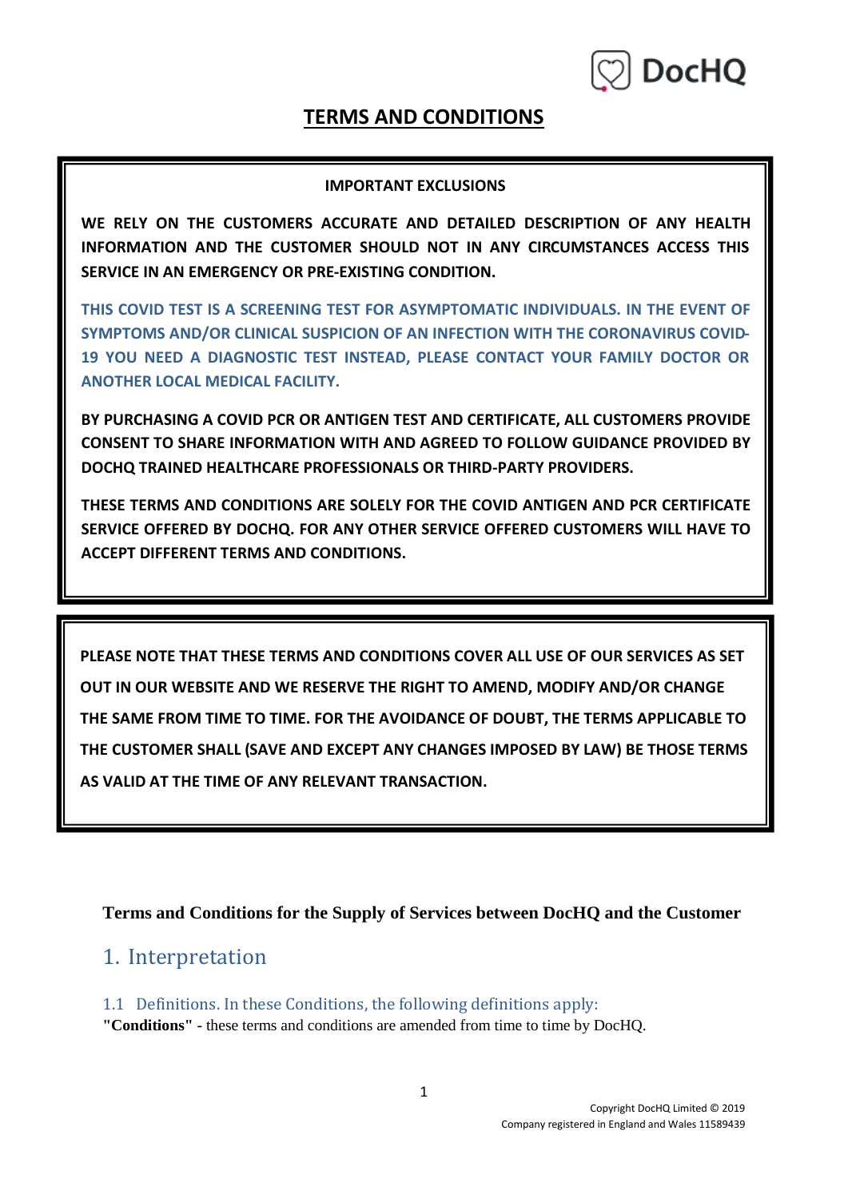

#### **TERMS AND CONDITIONS**

#### **IMPORTANT EXCLUSIONS**

**WE RELY ON THE CUSTOMERS ACCURATE AND DETAILED DESCRIPTION OF ANY HEALTH INFORMATION AND THE CUSTOMER SHOULD NOT IN ANY CIRCUMSTANCES ACCESS THIS SERVICE IN AN EMERGENCY OR PRE-EXISTING CONDITION.**

**THIS COVID TEST IS A SCREENING TEST FOR ASYMPTOMATIC INDIVIDUALS. IN THE EVENT OF SYMPTOMS AND/OR CLINICAL SUSPICION OF AN INFECTION WITH THE CORONAVIRUS COVID-19 YOU NEED A DIAGNOSTIC TEST INSTEAD, PLEASE CONTACT YOUR FAMILY DOCTOR OR ANOTHER LOCAL MEDICAL FACILITY.** 

**BY PURCHASING A COVID PCR OR ANTIGEN TEST AND CERTIFICATE, ALL CUSTOMERS PROVIDE CONSENT TO SHARE INFORMATION WITH AND AGREED TO FOLLOW GUIDANCE PROVIDED BY DOCHQ TRAINED HEALTHCARE PROFESSIONALS OR THIRD-PARTY PROVIDERS.** 

**THESE TERMS AND CONDITIONS ARE SOLELY FOR THE COVID ANTIGEN AND PCR CERTIFICATE SERVICE OFFERED BY DOCHQ. FOR ANY OTHER SERVICE OFFERED CUSTOMERS WILL HAVE TO ACCEPT DIFFERENT TERMS AND CONDITIONS.**

**PLEASE NOTE THAT THESE TERMS AND CONDITIONS COVER ALL USE OF OUR SERVICES AS SET OUT IN OUR WEBSITE AND WE RESERVE THE RIGHT TO AMEND, MODIFY AND/OR CHANGE THE SAME FROM TIME TO TIME. FOR THE AVOIDANCE OF DOUBT, THE TERMS APPLICABLE TO THE CUSTOMER SHALL (SAVE AND EXCEPT ANY CHANGES IMPOSED BY LAW) BE THOSE TERMS AS VALID AT THE TIME OF ANY RELEVANT TRANSACTION.**

**Terms and Conditions for the Supply of Services between DocHQ and the Customer**

#### 1. Interpretation

1.1 Definitions. In these Conditions, the following definitions apply:

**"Conditions" -** these terms and conditions are amended from time to time by DocHQ.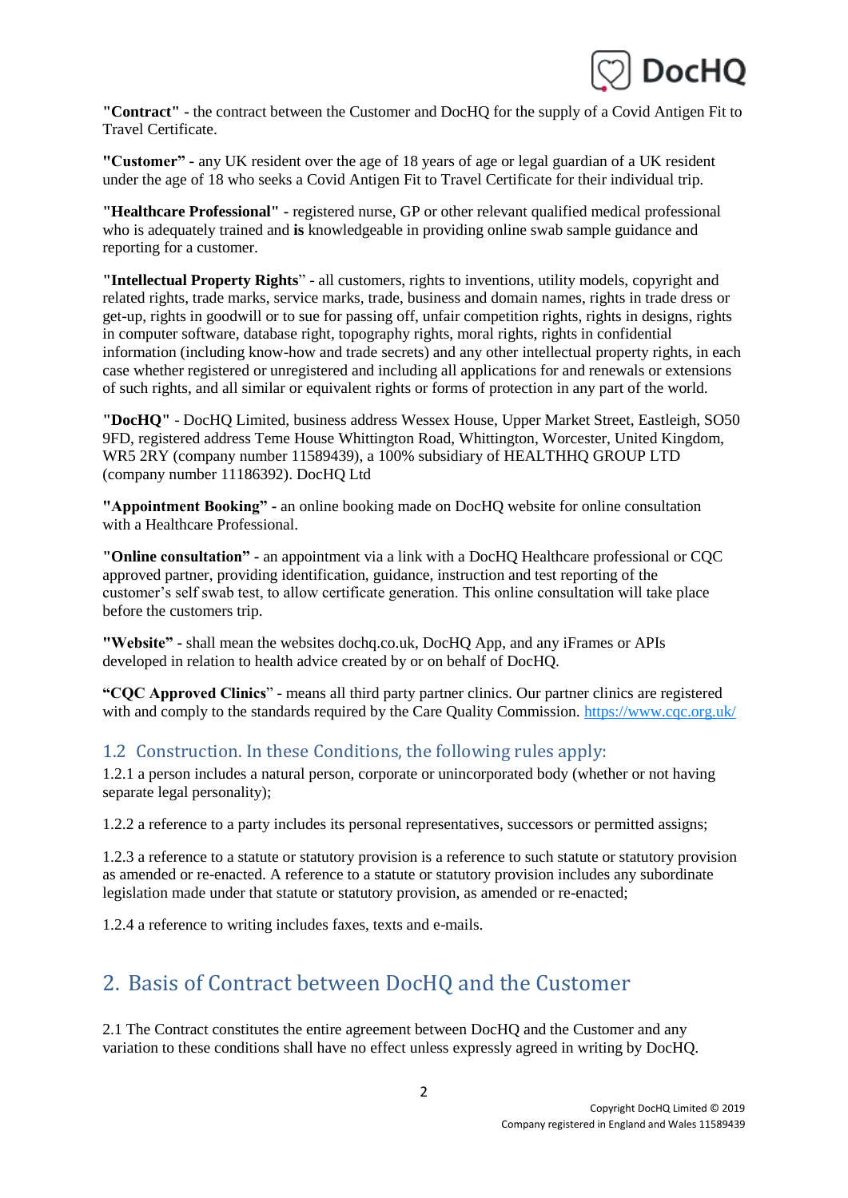

**"Contract" -** the contract between the Customer and DocHQ for the supply of a Covid Antigen Fit to Travel Certificate.

**"Customer" -** any UK resident over the age of 18 years of age or legal guardian of a UK resident under the age of 18 who seeks a Covid Antigen Fit to Travel Certificate for their individual trip.

**"Healthcare Professional" -** registered nurse, GP or other relevant qualified medical professional who is adequately trained and **is** knowledgeable in providing online swab sample guidance and reporting for a customer.

**"Intellectual Property Rights**" - all customers, rights to inventions, utility models, copyright and related rights, trade marks, service marks, trade, business and domain names, rights in trade dress or get-up, rights in goodwill or to sue for passing off, unfair competition rights, rights in designs, rights in computer software, database right, topography rights, moral rights, rights in confidential information (including know-how and trade secrets) and any other intellectual property rights, in each case whether registered or unregistered and including all applications for and renewals or extensions of such rights, and all similar or equivalent rights or forms of protection in any part of the world.

**"DocHQ"** - DocHQ Limited, business address Wessex House, Upper Market Street, Eastleigh, SO50 9FD, registered address Teme House Whittington Road, Whittington, Worcester, United Kingdom, WR5 2RY (company number 11589439), a 100% subsidiary of HEALTHHQ GROUP LTD (company number 11186392). DocHQ Ltd

**"Appointment Booking" -** an online booking made on DocHQ website for online consultation with a Healthcare Professional.

**"Online consultation" -** an appointment via a link with a DocHQ Healthcare professional or CQC approved partner, providing identification, guidance, instruction and test reporting of the customer's self swab test, to allow certificate generation. This online consultation will take place before the customers trip.

**"Website" -** shall mean the websites dochq.co.uk, DocHQ App, and any iFrames or APIs developed in relation to health advice created by or on behalf of DocHQ.

**"CQC Approved Clinics**" - means all third party partner clinics. Our partner clinics are registered with and comply to the standards required by the Care Quality Commission.<https://www.cqc.org.uk/>

#### 1.2 Construction. In these Conditions, the following rules apply:

1.2.1 a person includes a natural person, corporate or unincorporated body (whether or not having separate legal personality);

1.2.2 a reference to a party includes its personal representatives, successors or permitted assigns;

1.2.3 a reference to a statute or statutory provision is a reference to such statute or statutory provision as amended or re-enacted. A reference to a statute or statutory provision includes any subordinate legislation made under that statute or statutory provision, as amended or re-enacted;

1.2.4 a reference to writing includes faxes, texts and e-mails.

## 2. Basis of Contract between DocHQ and the Customer

2.1 The Contract constitutes the entire agreement between DocHQ and the Customer and any variation to these conditions shall have no effect unless expressly agreed in writing by DocHQ.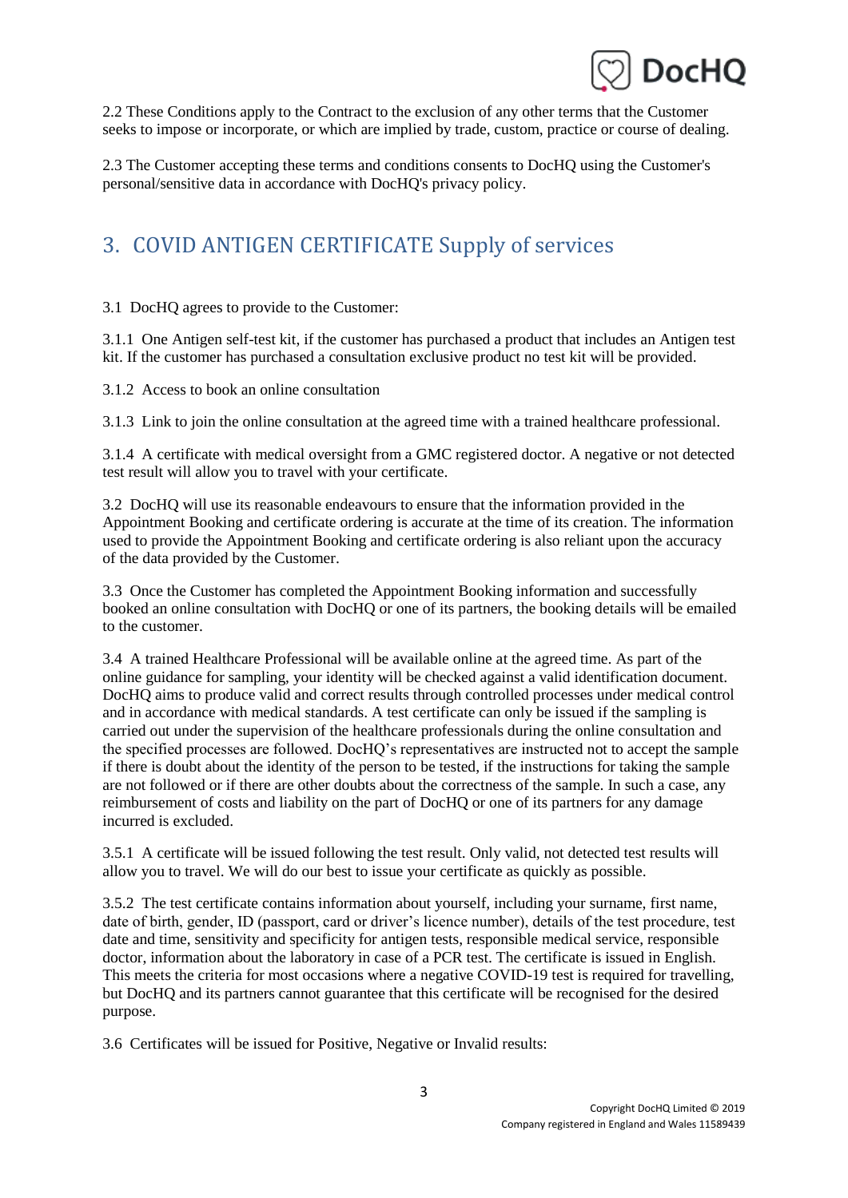

2.2 These Conditions apply to the Contract to the exclusion of any other terms that the Customer seeks to impose or incorporate, or which are implied by trade, custom, practice or course of dealing.

2.3 The Customer accepting these terms and conditions consents to DocHQ using the Customer's personal/sensitive data in accordance with DocHQ's privacy policy.

# 3. COVID ANTIGEN CERTIFICATE Supply of services

3.1 DocHQ agrees to provide to the Customer:

3.1.1 One Antigen self-test kit, if the customer has purchased a product that includes an Antigen test kit. If the customer has purchased a consultation exclusive product no test kit will be provided.

3.1.2 Access to book an online consultation

3.1.3 Link to join the online consultation at the agreed time with a trained healthcare professional.

3.1.4 A certificate with medical oversight from a GMC registered doctor. A negative or not detected test result will allow you to travel with your certificate.

3.2 DocHQ will use its reasonable endeavours to ensure that the information provided in the Appointment Booking and certificate ordering is accurate at the time of its creation. The information used to provide the Appointment Booking and certificate ordering is also reliant upon the accuracy of the data provided by the Customer.

3.3 Once the Customer has completed the Appointment Booking information and successfully booked an online consultation with DocHQ or one of its partners, the booking details will be emailed to the customer.

3.4 A trained Healthcare Professional will be available online at the agreed time. As part of the online guidance for sampling, your identity will be checked against a valid identification document. DocHQ aims to produce valid and correct results through controlled processes under medical control and in accordance with medical standards. A test certificate can only be issued if the sampling is carried out under the supervision of the healthcare professionals during the online consultation and the specified processes are followed. DocHQ's representatives are instructed not to accept the sample if there is doubt about the identity of the person to be tested, if the instructions for taking the sample are not followed or if there are other doubts about the correctness of the sample. In such a case, any reimbursement of costs and liability on the part of DocHQ or one of its partners for any damage incurred is excluded.

3.5.1 A certificate will be issued following the test result. Only valid, not detected test results will allow you to travel. We will do our best to issue your certificate as quickly as possible.

3.5.2 The test certificate contains information about yourself, including your surname, first name, date of birth, gender, ID (passport, card or driver's licence number), details of the test procedure, test date and time, sensitivity and specificity for antigen tests, responsible medical service, responsible doctor, information about the laboratory in case of a PCR test. The certificate is issued in English. This meets the criteria for most occasions where a negative COVID-19 test is required for travelling, but DocHQ and its partners cannot guarantee that this certificate will be recognised for the desired purpose.

3.6 Certificates will be issued for Positive, Negative or Invalid results: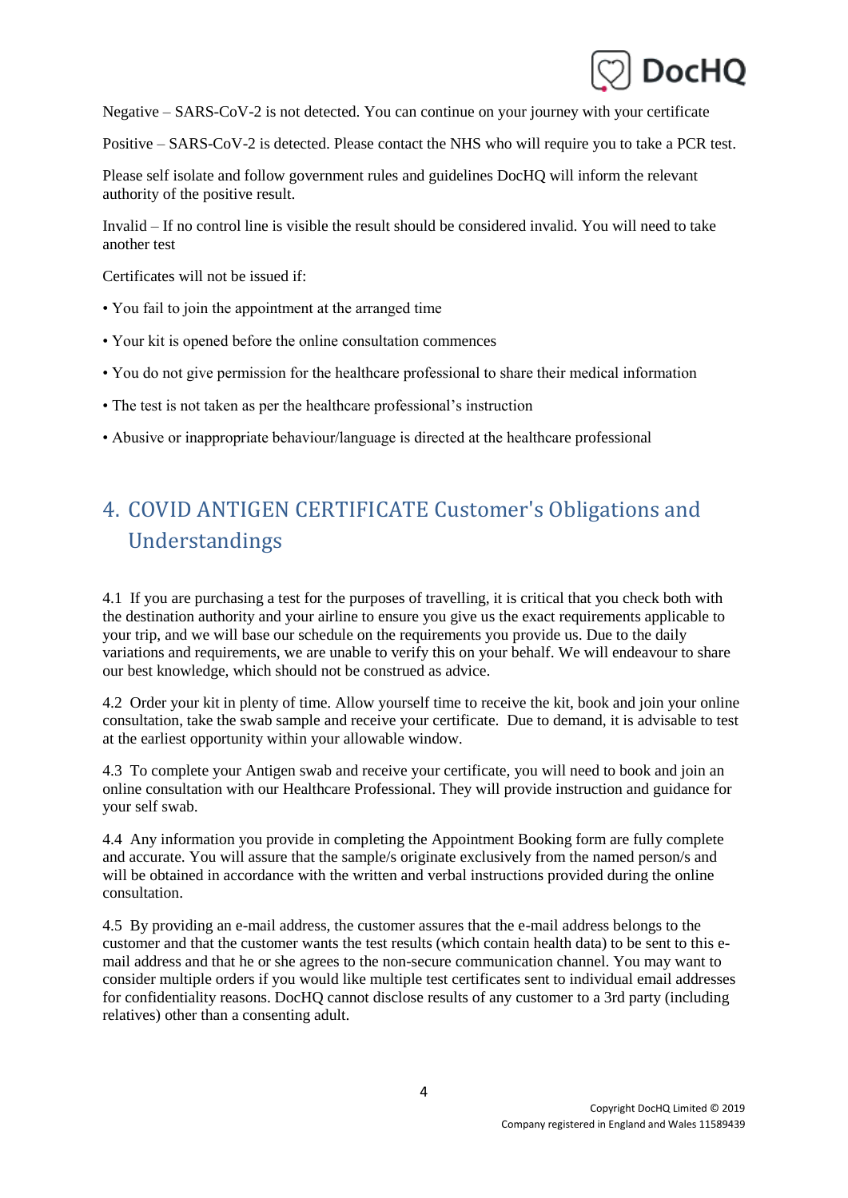

Negative – SARS-CoV-2 is not detected. You can continue on your journey with your certificate

Positive – SARS-CoV-2 is detected. Please contact the NHS who will require you to take a PCR test.

Please self isolate and follow government rules and guidelines DocHQ will inform the relevant authority of the positive result.

Invalid – If no control line is visible the result should be considered invalid. You will need to take another test

Certificates will not be issued if:

- You fail to join the appointment at the arranged time
- Your kit is opened before the online consultation commences
- You do not give permission for the healthcare professional to share their medical information
- The test is not taken as per the healthcare professional's instruction
- Abusive or inappropriate behaviour/language is directed at the healthcare professional

# 4. COVID ANTIGEN CERTIFICATE Customer's Obligations and Understandings

4.1 If you are purchasing a test for the purposes of travelling, it is critical that you check both with the destination authority and your airline to ensure you give us the exact requirements applicable to your trip, and we will base our schedule on the requirements you provide us. Due to the daily variations and requirements, we are unable to verify this on your behalf. We will endeavour to share our best knowledge, which should not be construed as advice.

4.2 Order your kit in plenty of time. Allow yourself time to receive the kit, book and join your online consultation, take the swab sample and receive your certificate. Due to demand, it is advisable to test at the earliest opportunity within your allowable window.

4.3 To complete your Antigen swab and receive your certificate, you will need to book and join an online consultation with our Healthcare Professional. They will provide instruction and guidance for your self swab.

4.4 Any information you provide in completing the Appointment Booking form are fully complete and accurate. You will assure that the sample/s originate exclusively from the named person/s and will be obtained in accordance with the written and verbal instructions provided during the online consultation.

4.5 By providing an e-mail address, the customer assures that the e-mail address belongs to the customer and that the customer wants the test results (which contain health data) to be sent to this email address and that he or she agrees to the non-secure communication channel. You may want to consider multiple orders if you would like multiple test certificates sent to individual email addresses for confidentiality reasons. DocHQ cannot disclose results of any customer to a 3rd party (including relatives) other than a consenting adult.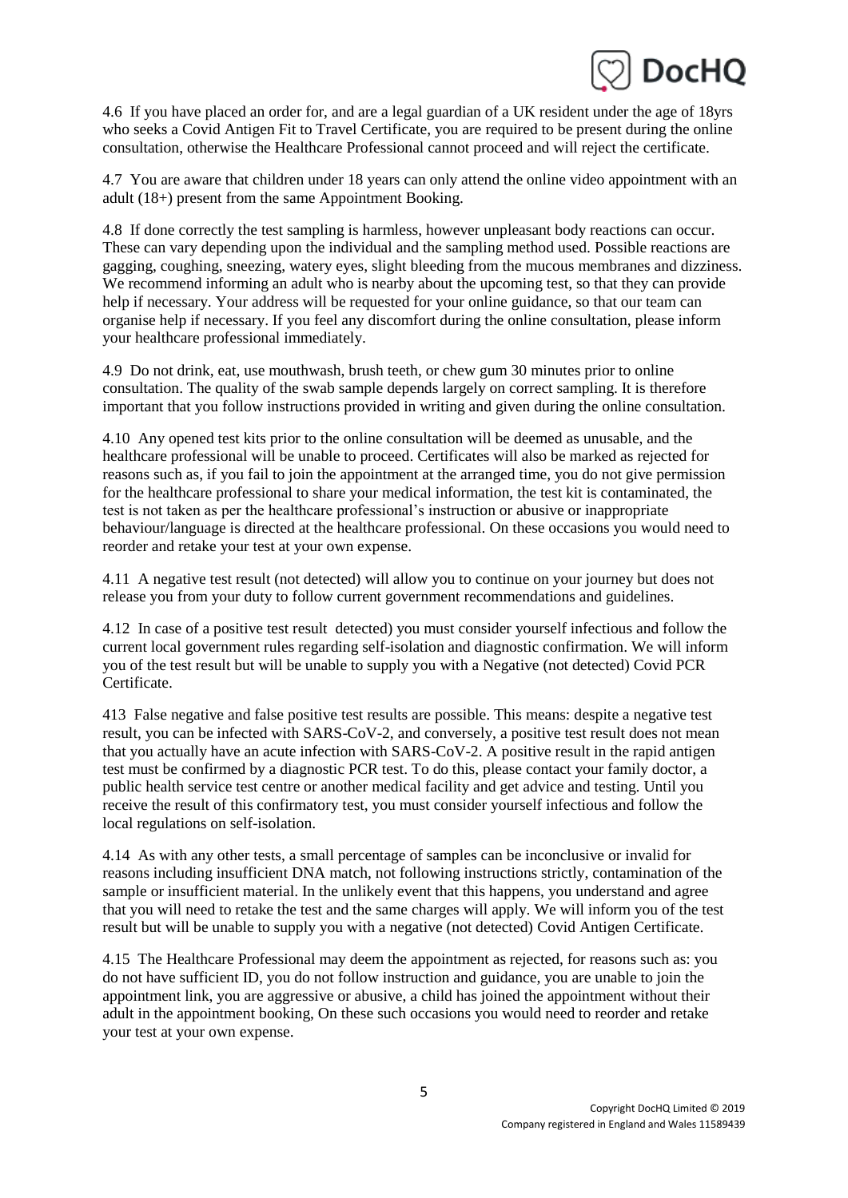

4.6 If you have placed an order for, and are a legal guardian of a UK resident under the age of 18yrs who seeks a Covid Antigen Fit to Travel Certificate, you are required to be present during the online consultation, otherwise the Healthcare Professional cannot proceed and will reject the certificate.

4.7 You are aware that children under 18 years can only attend the online video appointment with an adult (18+) present from the same Appointment Booking.

4.8 If done correctly the test sampling is harmless, however unpleasant body reactions can occur. These can vary depending upon the individual and the sampling method used. Possible reactions are gagging, coughing, sneezing, watery eyes, slight bleeding from the mucous membranes and dizziness. We recommend informing an adult who is nearby about the upcoming test, so that they can provide help if necessary. Your address will be requested for your online guidance, so that our team can organise help if necessary. If you feel any discomfort during the online consultation, please inform your healthcare professional immediately.

4.9 Do not drink, eat, use mouthwash, brush teeth, or chew gum 30 minutes prior to online consultation. The quality of the swab sample depends largely on correct sampling. It is therefore important that you follow instructions provided in writing and given during the online consultation.

4.10 Any opened test kits prior to the online consultation will be deemed as unusable, and the healthcare professional will be unable to proceed. Certificates will also be marked as rejected for reasons such as, if you fail to join the appointment at the arranged time, you do not give permission for the healthcare professional to share your medical information, the test kit is contaminated, the test is not taken as per the healthcare professional's instruction or abusive or inappropriate behaviour/language is directed at the healthcare professional. On these occasions you would need to reorder and retake your test at your own expense.

4.11 A negative test result (not detected) will allow you to continue on your journey but does not release you from your duty to follow current government recommendations and guidelines.

4.12 In case of a positive test result detected) you must consider yourself infectious and follow the current local government rules regarding self-isolation and diagnostic confirmation. We will inform you of the test result but will be unable to supply you with a Negative (not detected) Covid PCR Certificate.

413 False negative and false positive test results are possible. This means: despite a negative test result, you can be infected with SARS-CoV-2, and conversely, a positive test result does not mean that you actually have an acute infection with SARS-CoV-2. A positive result in the rapid antigen test must be confirmed by a diagnostic PCR test. To do this, please contact your family doctor, a public health service test centre or another medical facility and get advice and testing. Until you receive the result of this confirmatory test, you must consider yourself infectious and follow the local regulations on self-isolation.

4.14 As with any other tests, a small percentage of samples can be inconclusive or invalid for reasons including insufficient DNA match, not following instructions strictly, contamination of the sample or insufficient material. In the unlikely event that this happens, you understand and agree that you will need to retake the test and the same charges will apply. We will inform you of the test result but will be unable to supply you with a negative (not detected) Covid Antigen Certificate.

4.15 The Healthcare Professional may deem the appointment as rejected, for reasons such as: you do not have sufficient ID, you do not follow instruction and guidance, you are unable to join the appointment link, you are aggressive or abusive, a child has joined the appointment without their adult in the appointment booking, On these such occasions you would need to reorder and retake your test at your own expense.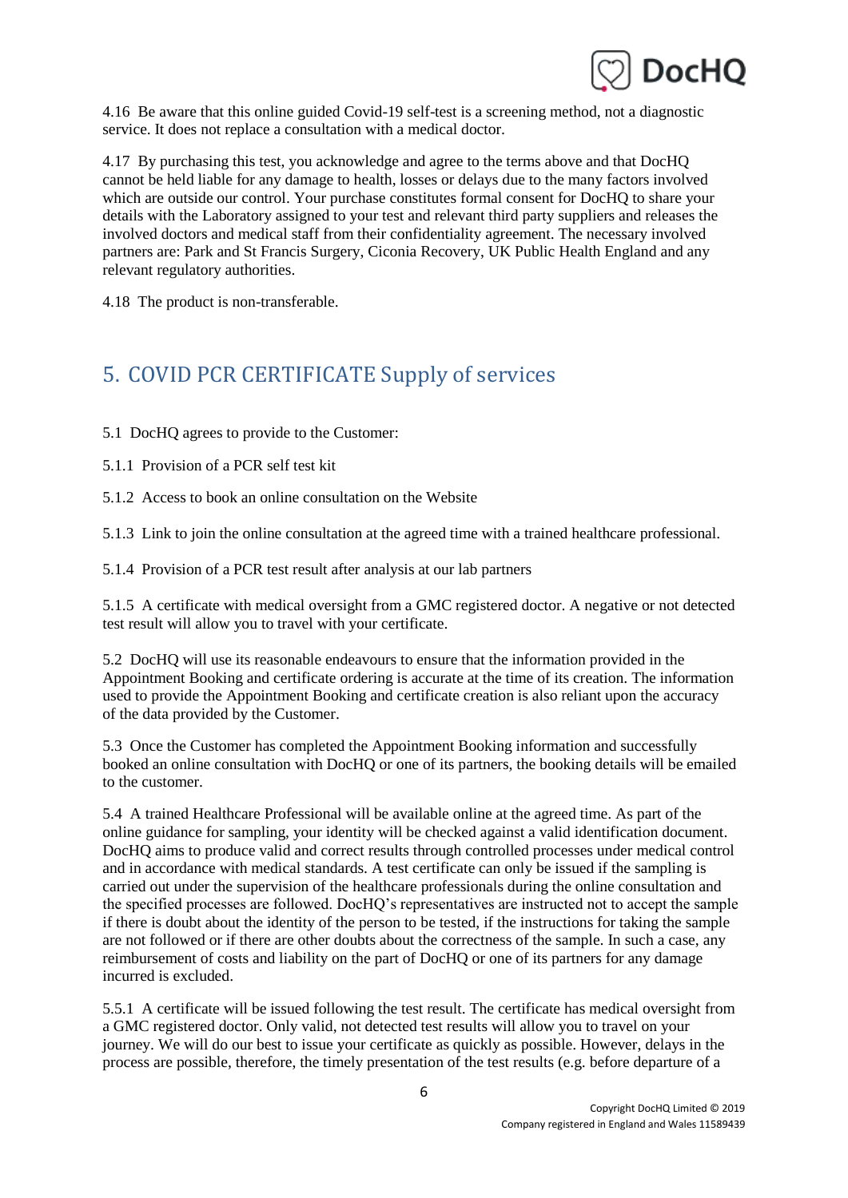

4.16 Be aware that this online guided Covid-19 self-test is a screening method, not a diagnostic service. It does not replace a consultation with a medical doctor.

4.17 By purchasing this test, you acknowledge and agree to the terms above and that DocHQ cannot be held liable for any damage to health, losses or delays due to the many factors involved which are outside our control. Your purchase constitutes formal consent for DocHQ to share your details with the Laboratory assigned to your test and relevant third party suppliers and releases the involved doctors and medical staff from their confidentiality agreement. The necessary involved partners are: Park and St Francis Surgery, Ciconia Recovery, UK Public Health England and any relevant regulatory authorities.

4.18 The product is non-transferable.

# 5. COVID PCR CERTIFICATE Supply of services

5.1 DocHQ agrees to provide to the Customer:

5.1.1 Provision of a PCR self test kit

5.1.2 Access to book an online consultation on the Website

5.1.3 Link to join the online consultation at the agreed time with a trained healthcare professional.

5.1.4 Provision of a PCR test result after analysis at our lab partners

5.1.5 A certificate with medical oversight from a GMC registered doctor. A negative or not detected test result will allow you to travel with your certificate.

5.2 DocHQ will use its reasonable endeavours to ensure that the information provided in the Appointment Booking and certificate ordering is accurate at the time of its creation. The information used to provide the Appointment Booking and certificate creation is also reliant upon the accuracy of the data provided by the Customer.

5.3 Once the Customer has completed the Appointment Booking information and successfully booked an online consultation with DocHQ or one of its partners, the booking details will be emailed to the customer.

5.4 A trained Healthcare Professional will be available online at the agreed time. As part of the online guidance for sampling, your identity will be checked against a valid identification document. DocHQ aims to produce valid and correct results through controlled processes under medical control and in accordance with medical standards. A test certificate can only be issued if the sampling is carried out under the supervision of the healthcare professionals during the online consultation and the specified processes are followed. DocHQ's representatives are instructed not to accept the sample if there is doubt about the identity of the person to be tested, if the instructions for taking the sample are not followed or if there are other doubts about the correctness of the sample. In such a case, any reimbursement of costs and liability on the part of DocHQ or one of its partners for any damage incurred is excluded.

5.5.1 A certificate will be issued following the test result. The certificate has medical oversight from a GMC registered doctor. Only valid, not detected test results will allow you to travel on your journey. We will do our best to issue your certificate as quickly as possible. However, delays in the process are possible, therefore, the timely presentation of the test results (e.g. before departure of a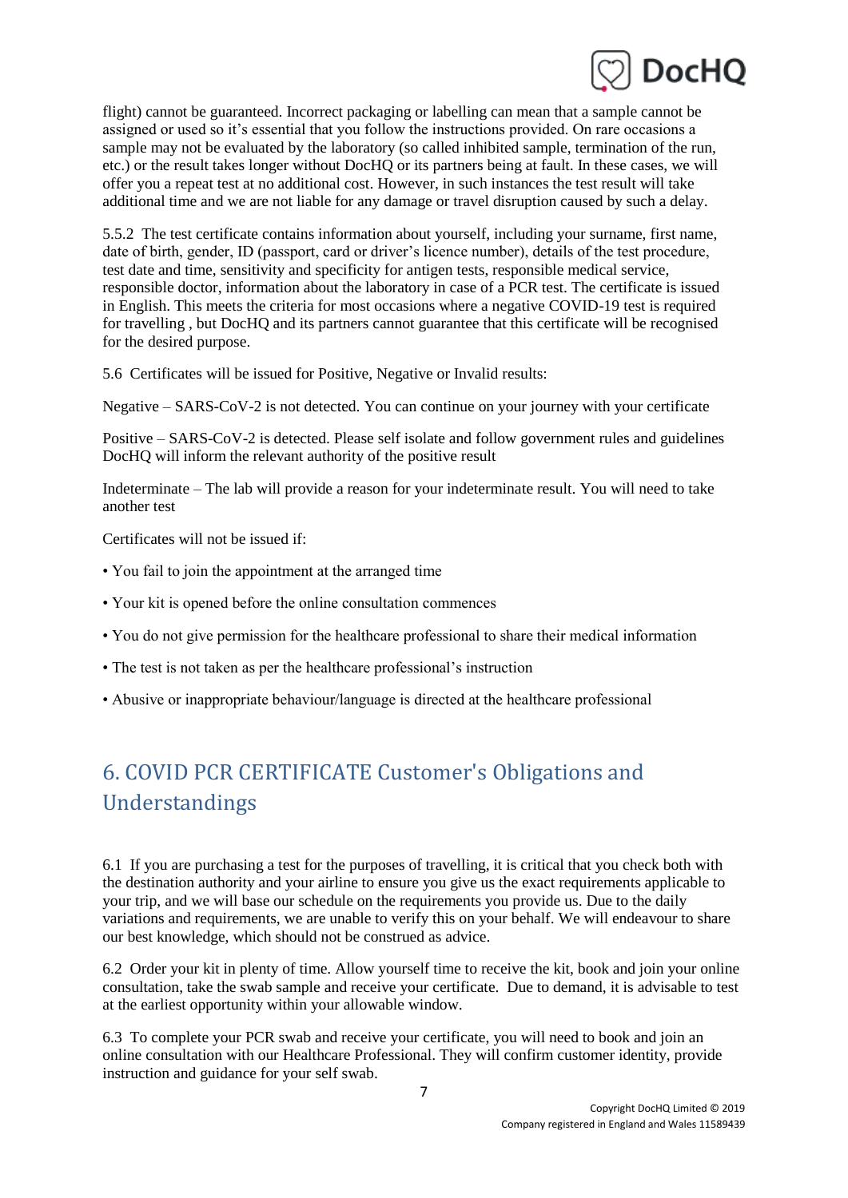

flight) cannot be guaranteed. Incorrect packaging or labelling can mean that a sample cannot be assigned or used so it's essential that you follow the instructions provided. On rare occasions a sample may not be evaluated by the laboratory (so called inhibited sample, termination of the run, etc.) or the result takes longer without DocHQ or its partners being at fault. In these cases, we will offer you a repeat test at no additional cost. However, in such instances the test result will take additional time and we are not liable for any damage or travel disruption caused by such a delay.

5.5.2 The test certificate contains information about yourself, including your surname, first name, date of birth, gender, ID (passport, card or driver's licence number), details of the test procedure, test date and time, sensitivity and specificity for antigen tests, responsible medical service, responsible doctor, information about the laboratory in case of a PCR test. The certificate is issued in English. This meets the criteria for most occasions where a negative COVID-19 test is required for travelling , but DocHQ and its partners cannot guarantee that this certificate will be recognised for the desired purpose.

5.6 Certificates will be issued for Positive, Negative or Invalid results:

Negative – SARS-CoV-2 is not detected. You can continue on your journey with your certificate

Positive – SARS-CoV-2 is detected. Please self isolate and follow government rules and guidelines DocHQ will inform the relevant authority of the positive result

Indeterminate – The lab will provide a reason for your indeterminate result. You will need to take another test

Certificates will not be issued if:

- You fail to join the appointment at the arranged time
- Your kit is opened before the online consultation commences
- You do not give permission for the healthcare professional to share their medical information
- The test is not taken as per the healthcare professional's instruction
- Abusive or inappropriate behaviour/language is directed at the healthcare professional

# 6. COVID PCR CERTIFICATE Customer's Obligations and Understandings

6.1 If you are purchasing a test for the purposes of travelling, it is critical that you check both with the destination authority and your airline to ensure you give us the exact requirements applicable to your trip, and we will base our schedule on the requirements you provide us. Due to the daily variations and requirements, we are unable to verify this on your behalf. We will endeavour to share our best knowledge, which should not be construed as advice.

6.2 Order your kit in plenty of time. Allow yourself time to receive the kit, book and join your online consultation, take the swab sample and receive your certificate. Due to demand, it is advisable to test at the earliest opportunity within your allowable window.

6.3 To complete your PCR swab and receive your certificate, you will need to book and join an online consultation with our Healthcare Professional. They will confirm customer identity, provide instruction and guidance for your self swab.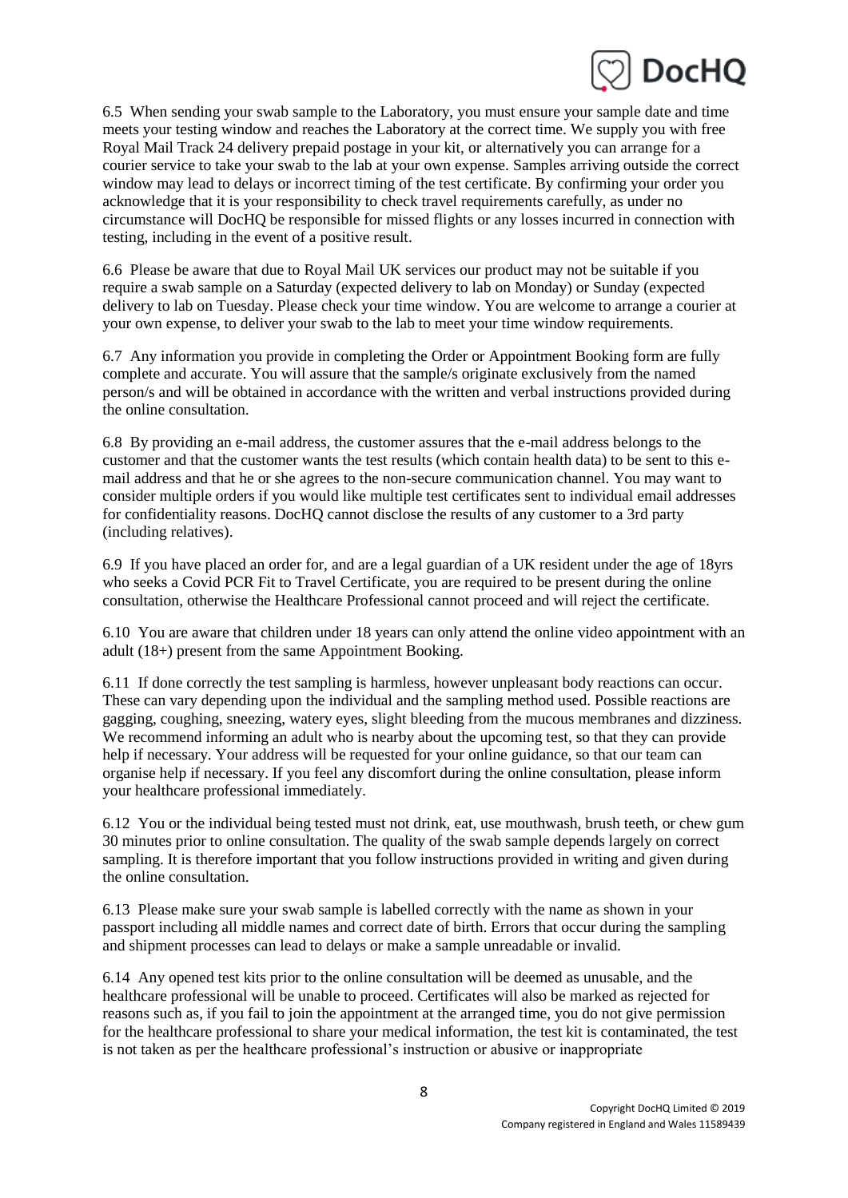

6.5 When sending your swab sample to the Laboratory, you must ensure your sample date and time meets your testing window and reaches the Laboratory at the correct time. We supply you with free Royal Mail Track 24 delivery prepaid postage in your kit, or alternatively you can arrange for a courier service to take your swab to the lab at your own expense. Samples arriving outside the correct window may lead to delays or incorrect timing of the test certificate. By confirming your order you acknowledge that it is your responsibility to check travel requirements carefully, as under no circumstance will DocHQ be responsible for missed flights or any losses incurred in connection with testing, including in the event of a positive result.

6.6 Please be aware that due to Royal Mail UK services our product may not be suitable if you require a swab sample on a Saturday (expected delivery to lab on Monday) or Sunday (expected delivery to lab on Tuesday. Please check your time window. You are welcome to arrange a courier at your own expense, to deliver your swab to the lab to meet your time window requirements.

6.7 Any information you provide in completing the Order or Appointment Booking form are fully complete and accurate. You will assure that the sample/s originate exclusively from the named person/s and will be obtained in accordance with the written and verbal instructions provided during the online consultation.

6.8 By providing an e-mail address, the customer assures that the e-mail address belongs to the customer and that the customer wants the test results (which contain health data) to be sent to this email address and that he or she agrees to the non-secure communication channel. You may want to consider multiple orders if you would like multiple test certificates sent to individual email addresses for confidentiality reasons. DocHQ cannot disclose the results of any customer to a 3rd party (including relatives).

6.9 If you have placed an order for, and are a legal guardian of a UK resident under the age of 18yrs who seeks a Covid PCR Fit to Travel Certificate, you are required to be present during the online consultation, otherwise the Healthcare Professional cannot proceed and will reject the certificate.

6.10 You are aware that children under 18 years can only attend the online video appointment with an adult (18+) present from the same Appointment Booking.

6.11 If done correctly the test sampling is harmless, however unpleasant body reactions can occur. These can vary depending upon the individual and the sampling method used. Possible reactions are gagging, coughing, sneezing, watery eyes, slight bleeding from the mucous membranes and dizziness. We recommend informing an adult who is nearby about the upcoming test, so that they can provide help if necessary. Your address will be requested for your online guidance, so that our team can organise help if necessary. If you feel any discomfort during the online consultation, please inform your healthcare professional immediately.

6.12 You or the individual being tested must not drink, eat, use mouthwash, brush teeth, or chew gum 30 minutes prior to online consultation. The quality of the swab sample depends largely on correct sampling. It is therefore important that you follow instructions provided in writing and given during the online consultation.

6.13 Please make sure your swab sample is labelled correctly with the name as shown in your passport including all middle names and correct date of birth. Errors that occur during the sampling and shipment processes can lead to delays or make a sample unreadable or invalid.

6.14 Any opened test kits prior to the online consultation will be deemed as unusable, and the healthcare professional will be unable to proceed. Certificates will also be marked as rejected for reasons such as, if you fail to join the appointment at the arranged time, you do not give permission for the healthcare professional to share your medical information, the test kit is contaminated, the test is not taken as per the healthcare professional's instruction or abusive or inappropriate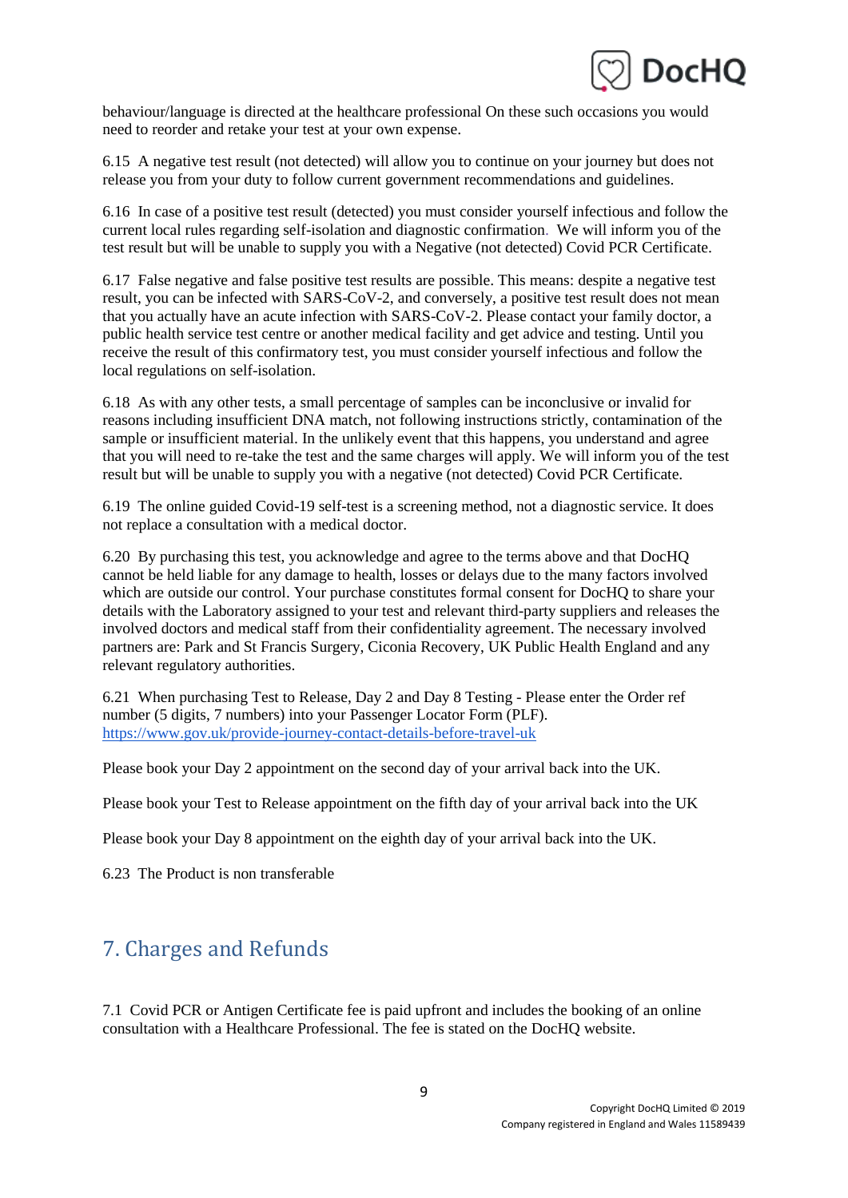

behaviour/language is directed at the healthcare professional On these such occasions you would need to reorder and retake your test at your own expense.

6.15 A negative test result (not detected) will allow you to continue on your journey but does not release you from your duty to follow current government recommendations and guidelines.

6.16 In case of a positive test result (detected) you must consider yourself infectious and follow the current local rules regarding self-isolation and diagnostic confirmation. We will inform you of the test result but will be unable to supply you with a Negative (not detected) Covid PCR Certificate.

6.17 False negative and false positive test results are possible. This means: despite a negative test result, you can be infected with SARS-CoV-2, and conversely, a positive test result does not mean that you actually have an acute infection with SARS-CoV-2. Please contact your family doctor, a public health service test centre or another medical facility and get advice and testing. Until you receive the result of this confirmatory test, you must consider yourself infectious and follow the local regulations on self-isolation.

6.18 As with any other tests, a small percentage of samples can be inconclusive or invalid for reasons including insufficient DNA match, not following instructions strictly, contamination of the sample or insufficient material. In the unlikely event that this happens, you understand and agree that you will need to re-take the test and the same charges will apply. We will inform you of the test result but will be unable to supply you with a negative (not detected) Covid PCR Certificate.

6.19 The online guided Covid-19 self-test is a screening method, not a diagnostic service. It does not replace a consultation with a medical doctor.

6.20 By purchasing this test, you acknowledge and agree to the terms above and that DocHQ cannot be held liable for any damage to health, losses or delays due to the many factors involved which are outside our control. Your purchase constitutes formal consent for DocHQ to share your details with the Laboratory assigned to your test and relevant third-party suppliers and releases the involved doctors and medical staff from their confidentiality agreement. The necessary involved partners are: Park and St Francis Surgery, Ciconia Recovery, UK Public Health England and any relevant regulatory authorities.

6.21 When purchasing Test to Release, Day 2 and Day 8 Testing - Please enter the Order ref number (5 digits, 7 numbers) into your Passenger Locator Form (PLF)[.](https://www.gov.uk/provide-journey-contact-details-before-travel-uk) <https://www.gov.uk/provide-journey-contact-details-before-travel-uk>

Please book your Day 2 appointment on the second day of your arrival back into the UK.

Please book your Test to Release appointment on the fifth day of your arrival back into the UK

Please book your Day 8 appointment on the eighth day of your arrival back into the UK.

6.23 The Product is non transferable

# 7. Charges and Refunds

7.1 Covid PCR or Antigen Certificate fee is paid upfront and includes the booking of an online consultation with a Healthcare Professional. The fee is stated on the DocHQ website.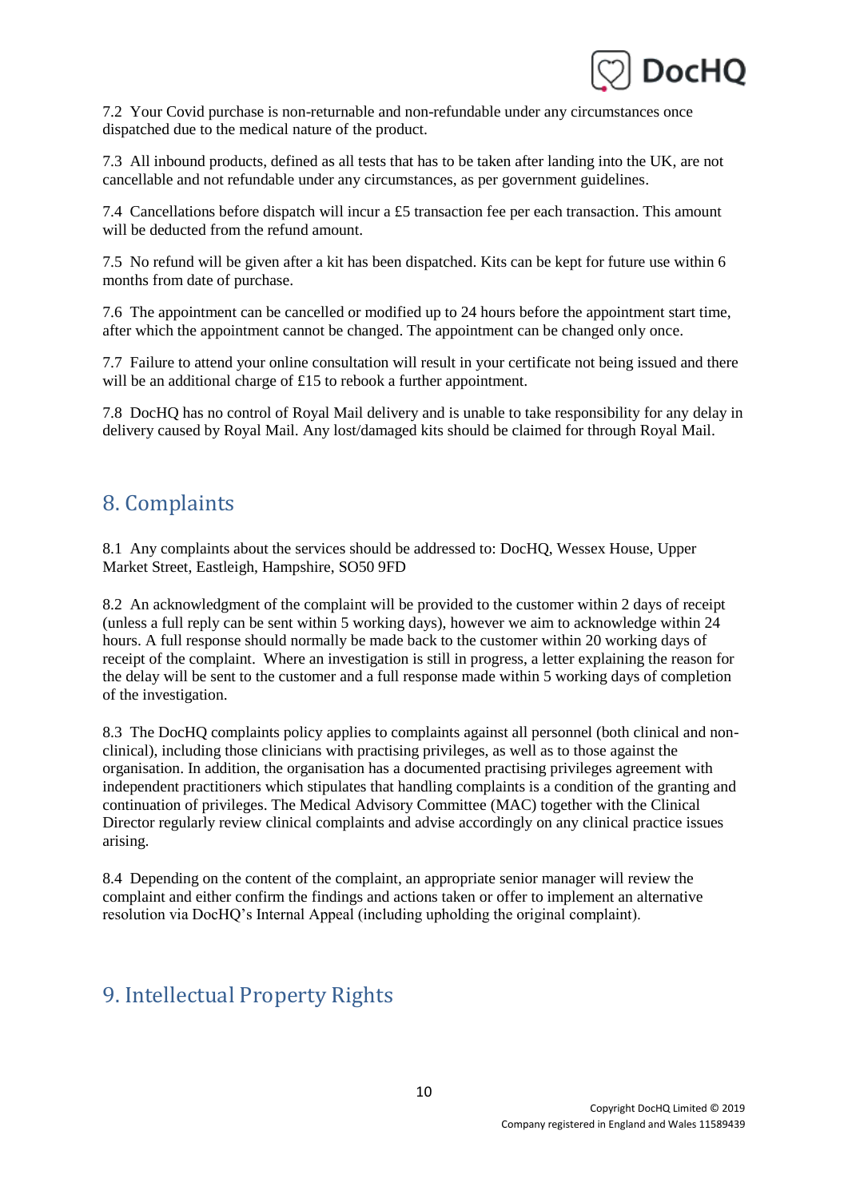

7.2 Your Covid purchase is non-returnable and non-refundable under any circumstances once dispatched due to the medical nature of the product.

7.3 All inbound products, defined as all tests that has to be taken after landing into the UK, are not cancellable and not refundable under any circumstances, as per government guidelines.

7.4 Cancellations before dispatch will incur a £5 transaction fee per each transaction. This amount will be deducted from the refund amount.

7.5 No refund will be given after a kit has been dispatched. Kits can be kept for future use within 6 months from date of purchase.

7.6 The appointment can be cancelled or modified up to 24 hours before the appointment start time, after which the appointment cannot be changed. The appointment can be changed only once.

7.7 Failure to attend your online consultation will result in your certificate not being issued and there will be an additional charge of £15 to rebook a further appointment.

7.8 DocHQ has no control of Royal Mail delivery and is unable to take responsibility for any delay in delivery caused by Royal Mail. Any lost/damaged kits should be claimed for through Royal Mail.

### 8. Complaints

8.1 Any complaints about the services should be addressed to: DocHQ, Wessex House, Upper Market Street, Eastleigh, Hampshire, SO50 9FD

8.2 An acknowledgment of the complaint will be provided to the customer within 2 days of receipt (unless a full reply can be sent within 5 working days), however we aim to acknowledge within 24 hours. A full response should normally be made back to the customer within 20 working days of receipt of the complaint. Where an investigation is still in progress, a letter explaining the reason for the delay will be sent to the customer and a full response made within 5 working days of completion of the investigation.

8.3 The DocHQ complaints policy applies to complaints against all personnel (both clinical and nonclinical), including those clinicians with practising privileges, as well as to those against the organisation. In addition, the organisation has a documented practising privileges agreement with independent practitioners which stipulates that handling complaints is a condition of the granting and continuation of privileges. The Medical Advisory Committee (MAC) together with the Clinical Director regularly review clinical complaints and advise accordingly on any clinical practice issues arising.

8.4 Depending on the content of the complaint, an appropriate senior manager will review the complaint and either confirm the findings and actions taken or offer to implement an alternative resolution via DocHQ's Internal Appeal (including upholding the original complaint).

## 9. Intellectual Property Rights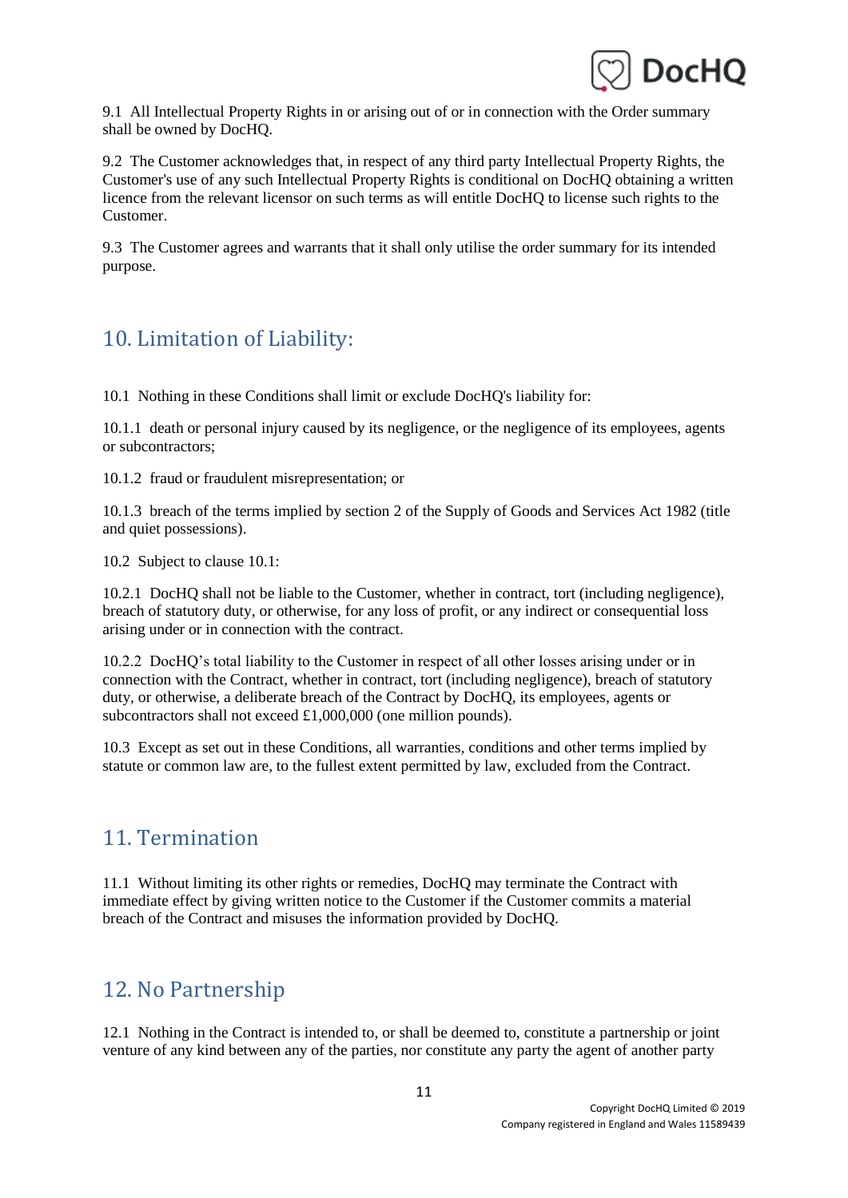

9.1 All Intellectual Property Rights in or arising out of or in connection with the Order summary shall be owned by DocHQ.

9.2 The Customer acknowledges that, in respect of any third party Intellectual Property Rights, the Customer's use of any such Intellectual Property Rights is conditional on DocHQ obtaining a written licence from the relevant licensor on such terms as will entitle DocHQ to license such rights to the Customer.

9.3 The Customer agrees and warrants that it shall only utilise the order summary for its intended purpose.

# 10. Limitation of Liability:

10.1 Nothing in these Conditions shall limit or exclude DocHQ's liability for:

10.1.1 death or personal injury caused by its negligence, or the negligence of its employees, agents or subcontractors;

10.1.2 fraud or fraudulent misrepresentation; or

10.1.3 breach of the terms implied by section 2 of the Supply of Goods and Services Act 1982 (title and quiet possessions).

10.2 Subject to clause 10.1:

10.2.1 DocHQ shall not be liable to the Customer, whether in contract, tort (including negligence), breach of statutory duty, or otherwise, for any loss of profit, or any indirect or consequential loss arising under or in connection with the contract.

10.2.2 DocHQ's total liability to the Customer in respect of all other losses arising under or in connection with the Contract, whether in contract, tort (including negligence), breach of statutory duty, or otherwise, a deliberate breach of the Contract by DocHQ, its employees, agents or subcontractors shall not exceed £1,000,000 (one million pounds).

10.3 Except as set out in these Conditions, all warranties, conditions and other terms implied by statute or common law are, to the fullest extent permitted by law, excluded from the Contract.

### 11. Termination

11.1 Without limiting its other rights or remedies, DocHQ may terminate the Contract with immediate effect by giving written notice to the Customer if the Customer commits a material breach of the Contract and misuses the information provided by DocHQ.

## 12. No Partnership

12.1 Nothing in the Contract is intended to, or shall be deemed to, constitute a partnership or joint venture of any kind between any of the parties, nor constitute any party the agent of another party